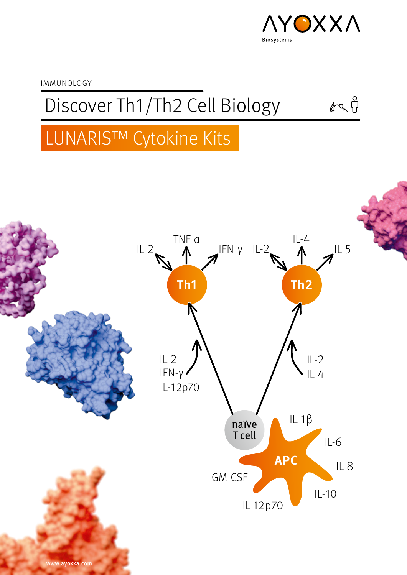

 $\sqrt{2}$ 

IMMUNOLOGY

Discover Th1/Th2 Cell Biology

# LUNARIS™ Cytokine Kits

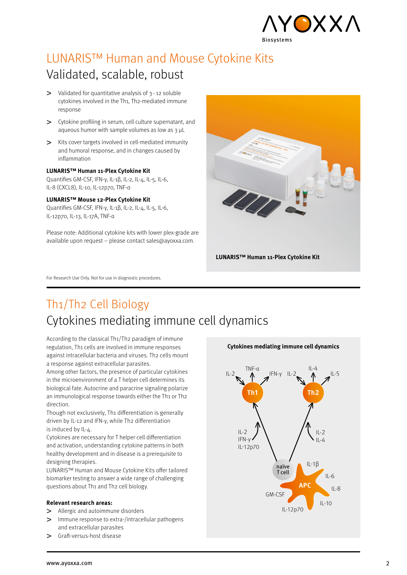

# LUNARIS™ Human and Mouse Cytokine Kits Validated, scalable, robust

- $>$  Validated for quantitative analysis of  $3-12$  soluble cytokines involved in the Th1, Th2-mediated immune response
- Cytokine profiling in serum, cell culture supernatant, and aqueous humor with sample volumes as low as 3 μL
- $\geq$  Kits cover targets involved in cell-mediated immunity and humoral response, and in changes caused by inflammation

### **LUNARIS™ Human 11-Plex Cytokine Kit**

Quantifies GM-CSF, IFN-γ, IL-1β, IL-2, IL-4, IL-5, IL-6, IL-8 (CXCL8), IL-10, IL-12p70, TNF-α

### **LUNARIS™ Mouse 12-Plex Cytokine Kit**

Quantifies GM-CSF, IFN-γ, IL-1β, IL-2, IL-4, IL-5, IL-6, IL-12p70, IL-13, IL-17A, TNF-α

Please note: Additional cytokine kits with lower plex-grade are available upon request – please contact sales@ayoxxa.com.



For Research Use Only. Not for use in diagnostic procedures.

# Th1/Th2 Cell Biology Cytokines mediating immune cell dynamics

According to the classical Th1/Th2 paradigm of immune regulation. Th1 cells are involved in immune responses against intracellular bacteria and viruses. Th2 cells mount a response against extracellular parasites.

Among other factors, the presence of particular cytokines in the microenvironment of a T helper cell determines its biological fate. Autocrine and paracrine signaling polarize an immunological response towards either the Th1 or Th2 direction.

Though not exclusively, Th1 differentiation is generally driven by IL-12 and IFN-γ, while Th2 differentiation is induced by IL-4.

Cytokines are necessary for T helper cell differentiation and activation, understanding cytokine patterns in both healthy development and in disease is a prerequisite to designing therapies.

LUNARIS™ Human and Mouse Cytokine Kits offer tailored biomarker testing to answer a wide range of challenging questions about Th1 and Th2 cell biology.

### **Relevant research areas:**

- > Allergic and autoimmune disorders
- Immune response to extra-/intracellular pathogens  $\geq$ and extracellular parasites
- Graft-versus-host disease  $\mathbf{v}$



**Cytokines mediating immune cell dynamics**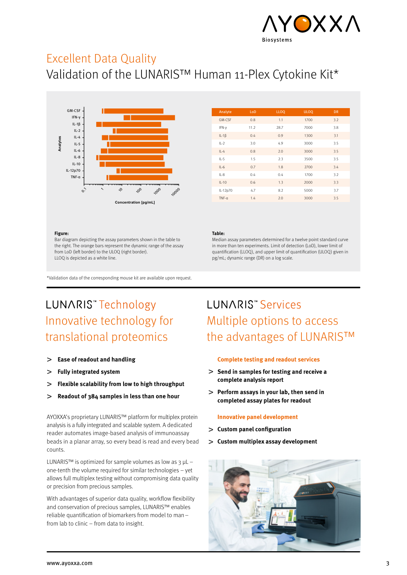

## Excellent Data Quality

Validation of the LUNARIS™ Human 11-Plex Cytokine Kit\*



| Analyte     | LoD  | <b>LLOQ</b> | <b>ULOQ</b> | <b>DR</b> |
|-------------|------|-------------|-------------|-----------|
| GM-CSE      | 0.8  | 1.1         | 1700        | 3.2       |
| IFN-y       | 11.2 | 28.7        | 7000        | 3.8       |
| $IL-1\beta$ | 0.4  | 0.9         | 1300        | 3.1       |
| $IL-2$      | 3.0  | 4.9         | 3000        | 3.5       |
| $IL-4$      | 0.8  | 2.0         | 3000        | 3.5       |
| $IL-5$      | 1.5  | 2.3         | 3500        | 3.5       |
| $IL-6$      | 0.7  | 1.8         | 2700        | 3.4       |
| $IL-8$      | 0.4  | 0.4         | 1700        | 3.2       |
| $IL-10$     | 0.6  | 1.3         | 2000        | 3.3       |
| IL-12p70    | 4.7  | 8.2         | 5000        | 3.7       |
| $TNF-a$     | 1.4  | 2.0         | 3000        | 3.5       |

#### **Figure:**

Bar diagram depicting the assay parameters shown in the table to the right. The orange bars represent the dynamic range of the assay from LoD (left border) to the ULOQ (right border). LLOQ is depicted as a white line.

### **Table:**

Median assay parameters determined for a twelve point standard curve in more than ten experiments. Limit of detection (LoD), lower limit of quantification (LLOQ), and upper limit of quantification (ULOQ) given in pg/mL; dynamic range (DR) on a log scale.

\*Validation data of the corresponding mouse kit are available upon request.

# LUNARIS<sup>\*</sup>Technology Innovative technology for translational proteomics

- **Ease of readout and handling**  $\geq$
- **Fully integrated system**  $\overline{\phantom{0}}$
- **Flexible scalability from low to high throughput**  $\geq$
- **Readout of 384 samples in less than one hour**  $\geq$

AYOXXA's proprietary LUNARIS™ platform for multiplex protein analysis is a fully integrated and scalable system. A dedicated reader automates image-based analysis of immunoassay beads in a planar array, so every bead is read and every bead counts.

LUNARIS™ is optimized for sample volumes as low as  $3$  µL – one-tenth the volume required for similar technologies – yet allows full multiplex testing without compromising data quality or precision from precious samples.

With advantages of superior data quality, workflow flexibility and conservation of precious samples, LUNARIS™ enables reliable quantification of biomarkers from model to man– from lab to clinic – from data to insight.

# **LUNARIS<sup>™</sup> Services** Multiple options to access the advantages of LUNARIS™

### **Complete testing and readout services**

- **Send in samples for testing and receive a complete analysis report**
- **Perform assays in your lab, then send in completed assay plates for readout**

### **Innovative panel development**

- **Custom panel configuration**
- **Custom multiplex assay development**